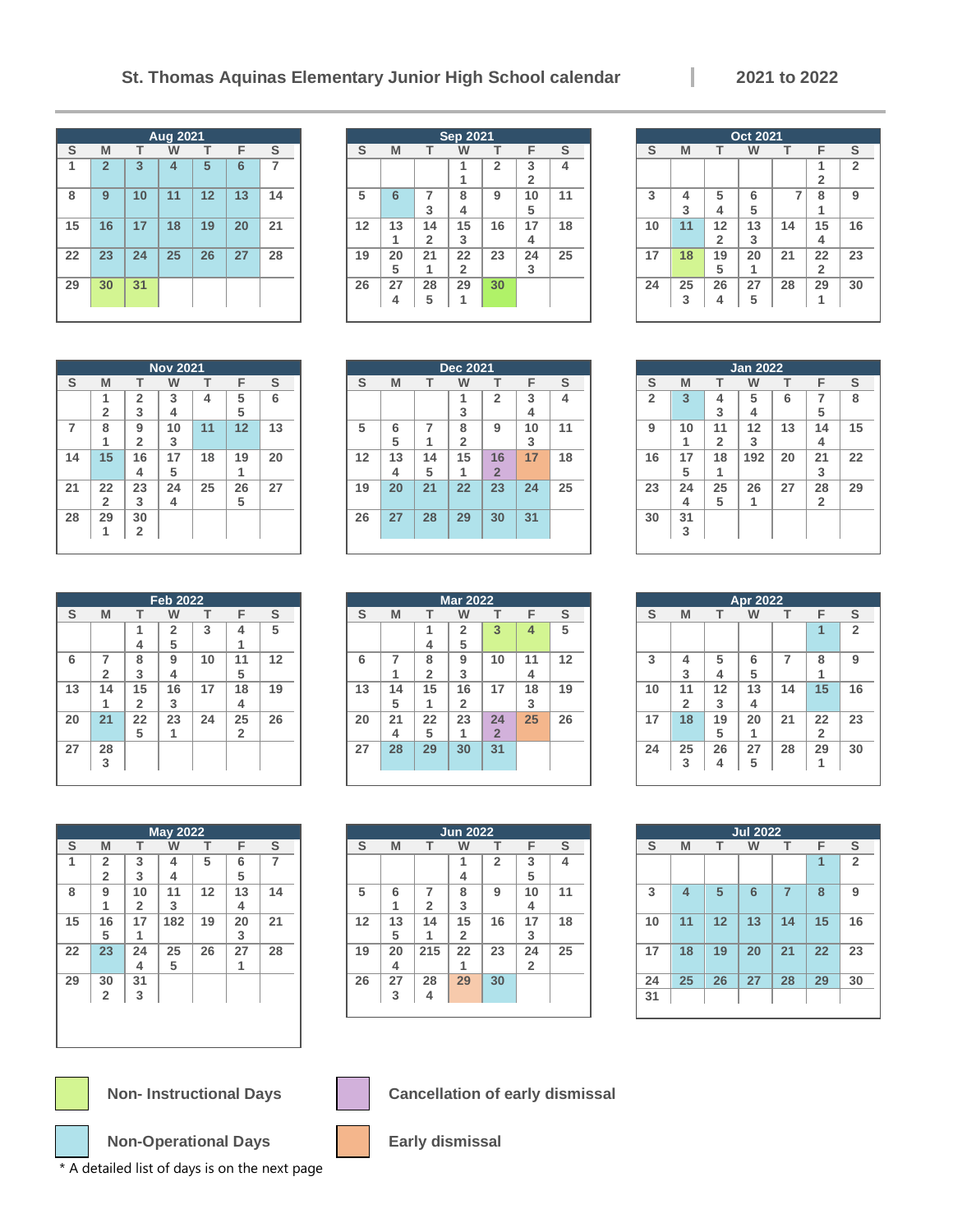| Aug 2021 |                |    |    |    |    |                |  |  |
|----------|----------------|----|----|----|----|----------------|--|--|
| S        | M              | T  | W  | т  | F  | S              |  |  |
| 1        | $\overline{2}$ | 3  | 4  | 5  | 6  | $\overline{7}$ |  |  |
| 8        | 9              | 10 | 11 | 12 | 13 | 14             |  |  |
| 15       | 16             | 17 | 18 | 19 | 20 | 21             |  |  |
| 22       | 23             | 24 | 25 | 26 | 27 | 28             |  |  |
| 29       | 30             | 31 |    |    |    |                |  |  |
|          |                |    |    |    |    |                |  |  |

| <b>Sep 2021</b> |    |                |                |                |                |    |  |  |
|-----------------|----|----------------|----------------|----------------|----------------|----|--|--|
| S               | M  | т              | W              | т              | F              | S  |  |  |
|                 |    |                | 1              | $\overline{2}$ | 3              | 4  |  |  |
|                 |    |                | 1              |                | $\overline{2}$ |    |  |  |
| 5               | 6  | 7              | 8              | 9              | 10             | 11 |  |  |
|                 |    | 3              | 4              |                | 5              |    |  |  |
| 12              | 13 | 14             | 15             | 16             | 17             | 18 |  |  |
|                 | 1  | $\overline{2}$ | 3              |                | 4              |    |  |  |
| 19              | 20 | 21             | 22             | 23             | 24             | 25 |  |  |
|                 | 5  | 1              | $\overline{2}$ |                | 3              |    |  |  |
| 26              | 27 | 28             | 29             | 30             |                |    |  |  |
|                 | 4  | 5              | 1              |                |                |    |  |  |
|                 |    |                |                |                |                |    |  |  |

| <b>Oct 2021</b> |    |                |    |    |                |                |  |
|-----------------|----|----------------|----|----|----------------|----------------|--|
| S               | M  | т              | W  | т  | F              | S              |  |
|                 |    |                |    |    | 1              | $\overline{2}$ |  |
|                 |    |                |    |    | $\overline{2}$ |                |  |
| 3               | 4  | 5              | 6  | 7  | 8              | 9              |  |
|                 | 3  | 4              | 5  |    | 1              |                |  |
| 10              | 11 | 12             | 13 | 14 | 15             | 16             |  |
|                 |    | $\overline{2}$ | 3  |    | 4              |                |  |
| 17              | 18 | 19             | 20 | 21 | 22             | 23             |  |
|                 |    | 5              | 1  |    | $\overline{2}$ |                |  |
| 24              | 25 | 26             | 27 | 28 | 29             | 30             |  |
|                 | 3  | 4              | 5  |    | 1              |                |  |

| <b>Nov 2021</b> |                |                |    |    |    |    |  |
|-----------------|----------------|----------------|----|----|----|----|--|
| $\mathbb S$     | M              | т              | W  | т  | F  | S  |  |
|                 | 1              | $\overline{2}$ | 3  | 4  | 5  | 6  |  |
|                 | $\overline{2}$ | 3              | 4  |    | 5  |    |  |
| $\overline{7}$  | 8              | 9              | 10 | 11 | 12 | 13 |  |
|                 | 1              | $\overline{2}$ | 3  |    |    |    |  |
| 14              | 15             | 16             | 17 | 18 | 19 | 20 |  |
|                 |                | 4              | 5  |    | 1  |    |  |
| 21              | 22             | 23             | 24 | 25 | 26 | 27 |  |
|                 | $\overline{2}$ | 3              | 4  |    | 5  |    |  |
| 28              | 29             | 30             |    |    |    |    |  |
|                 | 1              | $\overline{2}$ |    |    |    |    |  |
|                 |                |                |    |    |    |    |  |

| Dec 2021 |    |                       |                |                |    |    |  |  |  |
|----------|----|-----------------------|----------------|----------------|----|----|--|--|--|
| S        | M  | S<br>F<br>T<br>W<br>т |                |                |    |    |  |  |  |
|          |    |                       | 1              | $\overline{2}$ | 3  | 4  |  |  |  |
|          |    |                       | 3              |                | 4  |    |  |  |  |
| 5        | 6  | 7                     | 8              | 9              | 10 | 11 |  |  |  |
|          | 5  | 1                     | $\overline{2}$ |                | 3  |    |  |  |  |
| 12       | 13 | 14                    | 15             | 16             | 17 | 18 |  |  |  |
|          | 4  | 5                     | 1              | $\overline{2}$ |    |    |  |  |  |
| 19       | 20 | 21                    | 22             | 23             | 24 | 25 |  |  |  |
|          |    |                       |                |                |    |    |  |  |  |
| 26       | 27 | 28                    | 29             | 30             | 31 |    |  |  |  |
|          |    |                       |                |                |    |    |  |  |  |
|          |    |                       |                |                |    |    |  |  |  |

| <b>Jan 2022</b> |    |                |     |    |                |    |  |  |
|-----------------|----|----------------|-----|----|----------------|----|--|--|
| S               | M  | т              | W   | т  | F              | S  |  |  |
| $\overline{2}$  | 3  | 4              | 5   | 6  | $\overline{7}$ | 8  |  |  |
|                 |    | 3              | 4   |    | 5              |    |  |  |
| 9               | 10 | 11             | 12  | 13 | 14             | 15 |  |  |
|                 | 1  | $\overline{2}$ | 3   |    | $\overline{4}$ |    |  |  |
| 16              | 17 | 18             | 192 | 20 | 21             | 22 |  |  |
|                 | 5  | 1              |     |    | 3              |    |  |  |
| 23              | 24 | 25             | 26  | 27 | 28             | 29 |  |  |
|                 | 4  | 5              | 1   |    | $\overline{2}$ |    |  |  |
| 30              | 31 |                |     |    |                |    |  |  |
|                 | 3  |                |     |    |                |    |  |  |
|                 |    |                |     |    |                |    |  |  |

| <b>Feb 2022</b> |                |                |                |    |                |    |  |
|-----------------|----------------|----------------|----------------|----|----------------|----|--|
| $\mathsf{s}$    | M              | T              | W              | т  | F              | S  |  |
|                 |                | 1              | $\overline{2}$ | 3  | 4              | 5  |  |
|                 |                | 4              | 5              |    | 1              |    |  |
| 6               | $\overline{7}$ | 8              | 9              | 10 | 11             | 12 |  |
|                 | $\overline{2}$ | 3              | 4              |    | 5              |    |  |
| 13              | 14             | 15             | 16             | 17 | 18             | 19 |  |
|                 | 1              | $\overline{2}$ | 3              |    | 4              |    |  |
| 20              | 21             | 22             | 23             | 24 | 25             | 26 |  |
|                 |                | 5              | 1              |    | $\overline{2}$ |    |  |
| 27              | 28             |                |                |    |                |    |  |
|                 | 3              |                |                |    |                |    |  |

| <b>Mar 2022</b> |    |                |                         |                |    |    |  |
|-----------------|----|----------------|-------------------------|----------------|----|----|--|
| S               | M  | т              | W                       | т              | F  | S  |  |
|                 |    | 1              | $\overline{\mathbf{2}}$ | 3              | 4  | 5  |  |
|                 |    | 4              | 5                       |                |    |    |  |
| 6               | 7  | 8              | 9                       | 10             | 11 | 12 |  |
|                 |    | $\overline{2}$ | 3                       |                | 4  |    |  |
| 13              | 14 | 15             | 16                      | 17             | 18 | 19 |  |
|                 | 5  | 1              | $\overline{2}$          |                | 3  |    |  |
| 20              | 21 | 22             | 23                      | 24             | 25 | 26 |  |
|                 | 4  | 5              |                         | $\overline{2}$ |    |    |  |
| 27              | 28 | 29             | 30                      | 31             |    |    |  |
|                 |    |                |                         |                |    |    |  |
|                 |    |                |                         |                |    |    |  |

| Apr 2022 |                |    |    |    |                |                |  |  |
|----------|----------------|----|----|----|----------------|----------------|--|--|
| S        | M              | T  | W  | T  | F              | S              |  |  |
|          |                |    |    |    | 1              | $\overline{2}$ |  |  |
| 3        | 4              | 5  | 6  | 7  | 8              | 9              |  |  |
|          | 3              | 4  | 5  |    | 1              |                |  |  |
| 10       | 11             | 12 | 13 | 14 | 15             | 16             |  |  |
|          | $\overline{2}$ | 3  | 4  |    |                |                |  |  |
| 17       | 18             | 19 | 20 | 21 | 22             | 23             |  |  |
|          |                | 5  | 1  |    | $\overline{2}$ |                |  |  |
| 24       | 25             | 26 | 27 | 28 | 29             | 30             |  |  |
|          | 3              | 4  | 5  |    | 1              |                |  |  |
|          |                |    |    |    |                |                |  |  |

| S<br>$\overline{7}$ |
|---------------------|
|                     |
|                     |
|                     |
|                     |
| 14                  |
|                     |
| 21                  |
|                     |
| 28                  |
|                     |
|                     |
|                     |
|                     |
|                     |
|                     |

|    |    |                | <b>Jun 2022</b> |                |                |    |  |  |  |  |  |
|----|----|----------------|-----------------|----------------|----------------|----|--|--|--|--|--|
| S  | M  | т              | W               | т              | F              | S  |  |  |  |  |  |
|    |    |                | 1               | $\overline{2}$ | 3              | 4  |  |  |  |  |  |
|    |    |                | 4               |                | 5              |    |  |  |  |  |  |
| 5  | 6  | 7              | 8               | 9              | 10             | 11 |  |  |  |  |  |
|    | 1  | $\overline{2}$ | 3               |                | 4              |    |  |  |  |  |  |
| 12 | 13 | 14             | 15              | 16             | 17             | 18 |  |  |  |  |  |
|    | 5  | 1              | $\overline{2}$  |                | 3              |    |  |  |  |  |  |
| 19 | 20 | 215            | 22              | 23             | 24             | 25 |  |  |  |  |  |
|    | 4  |                | 1               |                | $\overline{2}$ |    |  |  |  |  |  |
| 26 | 27 | 28             | 29              | 30             |                |    |  |  |  |  |  |
|    | 3  | 4              |                 |                |                |    |  |  |  |  |  |
|    |    |                |                 |                |                |    |  |  |  |  |  |

| <b>Jul 2022</b> |                |    |    |                |    |                |  |  |
|-----------------|----------------|----|----|----------------|----|----------------|--|--|
| S               | M              | T  | W  | T              | F  | S              |  |  |
|                 |                |    |    |                | 1  | $\overline{2}$ |  |  |
| 3               | $\overline{4}$ | 5  | 6  | $\overline{7}$ | 8  | 9              |  |  |
| 10              | 11             | 12 | 13 | 14             | 15 | 16             |  |  |
| 17              | 18             | 19 | 20 | 21             | 22 | 23             |  |  |
| 24              | 25             | 26 | 27 | 28             | 29 | 30             |  |  |
| 31              |                |    |    |                |    |                |  |  |





**Non-Operational Days Early dismissal** 

\* A detailed list of days is on the next page

# **Non- Instructional Days Cancellation of early dismissal**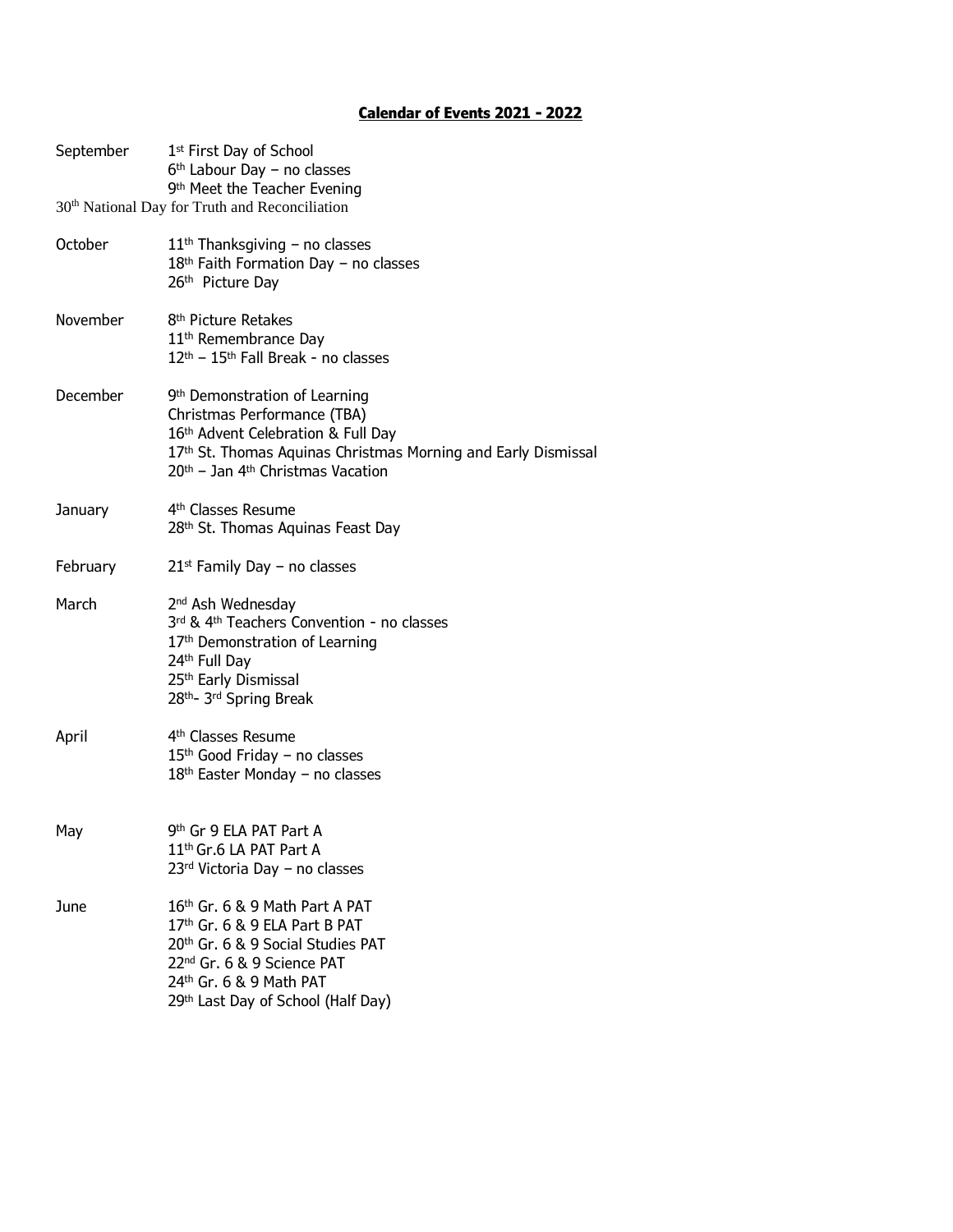# **Calendar of Events 2021 - 2022**

| September | 1st First Day of School<br>$6th$ Labour Day – no classes<br>9 <sup>th</sup> Meet the Teacher Evening                                                                                                                                         |
|-----------|----------------------------------------------------------------------------------------------------------------------------------------------------------------------------------------------------------------------------------------------|
|           | 30 <sup>th</sup> National Day for Truth and Reconciliation                                                                                                                                                                                   |
| October   | 11 <sup>th</sup> Thanksgiving - no classes<br>18th Faith Formation Day - no classes<br>26th Picture Day                                                                                                                                      |
| November  | 8 <sup>th</sup> Picture Retakes<br>11 <sup>th</sup> Remembrance Day<br>12 <sup>th</sup> - 15 <sup>th</sup> Fall Break - no classes                                                                                                           |
| December  | 9 <sup>th</sup> Demonstration of Learning<br>Christmas Performance (TBA)<br>16th Advent Celebration & Full Day<br>17th St. Thomas Aquinas Christmas Morning and Early Dismissal<br>20 <sup>th</sup> - Jan 4 <sup>th</sup> Christmas Vacation |
| January   | 4 <sup>th</sup> Classes Resume<br>28 <sup>th</sup> St. Thomas Aquinas Feast Day                                                                                                                                                              |
| February  | $21st$ Family Day – no classes                                                                                                                                                                                                               |
| March     | 2 <sup>nd</sup> Ash Wednesday<br>3rd & 4th Teachers Convention - no classes<br>17 <sup>th</sup> Demonstration of Learning<br>24th Full Day<br>25 <sup>th</sup> Early Dismissal<br>28th- 3rd Spring Break                                     |
| April     | 4 <sup>th</sup> Classes Resume<br>$15th$ Good Friday – no classes<br>18th Easter Monday - no classes                                                                                                                                         |
| May       | 9 <sup>th</sup> Gr 9 ELA PAT Part A<br>11 <sup>th</sup> Gr.6 LA PAT Part A<br>23 <sup>rd</sup> Victoria Day - no classes                                                                                                                     |
| June      | 16th Gr. 6 & 9 Math Part A PAT<br>17th Gr. 6 & 9 ELA Part B PAT<br>20 <sup>th</sup> Gr. 6 & 9 Social Studies PAT<br>22 <sup>nd</sup> Gr. 6 & 9 Science PAT<br>24th Gr. 6 & 9 Math PAT<br>29th Last Day of School (Half Day)                  |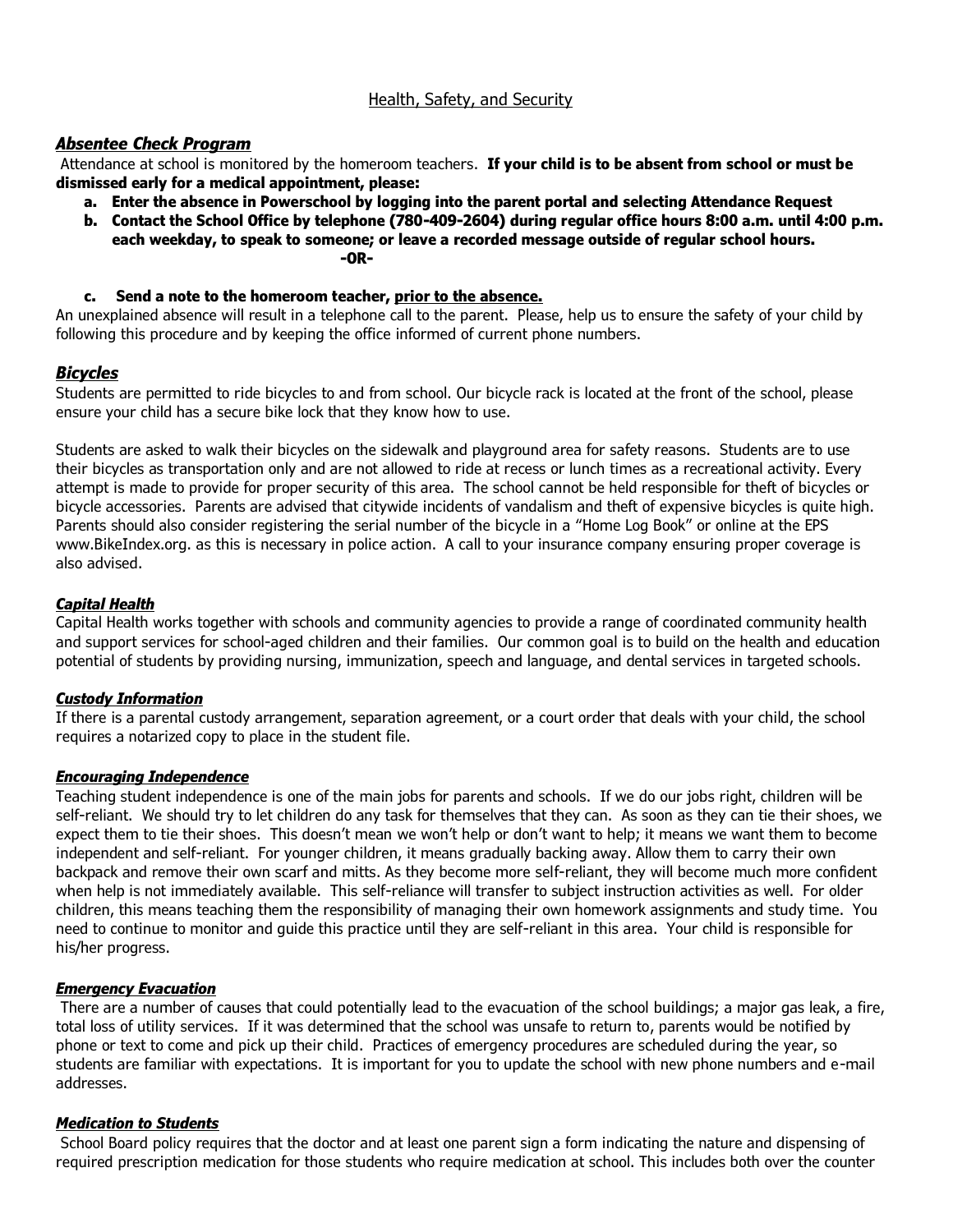# Health, Safety, and Security

# *Absentee Check Program*

Attendance at school is monitored by the homeroom teachers. **If your child is to be absent from school or must be dismissed early for a medical appointment, please:** 

- **a. Enter the absence in Powerschool by logging into the parent portal and selecting Attendance Request**
- **b. Contact the School Office by telephone (780-409-2604) during regular office hours 8:00 a.m. until 4:00 p.m. each weekday, to speak to someone; or leave a recorded message outside of regular school hours. -OR**
	- **c. Send a note to the homeroom teacher, prior to the absence.**

An unexplained absence will result in a telephone call to the parent. Please, help us to ensure the safety of your child by following this procedure and by keeping the office informed of current phone numbers.

# *Bicycles*

Students are permitted to ride bicycles to and from school. Our bicycle rack is located at the front of the school, please ensure your child has a secure bike lock that they know how to use.

Students are asked to walk their bicycles on the sidewalk and playground area for safety reasons. Students are to use their bicycles as transportation only and are not allowed to ride at recess or lunch times as a recreational activity. Every attempt is made to provide for proper security of this area. The school cannot be held responsible for theft of bicycles or bicycle accessories. Parents are advised that citywide incidents of vandalism and theft of expensive bicycles is quite high. Parents should also consider registering the serial number of the bicycle in a "Home Log Book" or online at the EPS www.BikeIndex.org. as this is necessary in police action. A call to your insurance company ensuring proper coverage is also advised.

# *Capital Health*

Capital Health works together with schools and community agencies to provide a range of coordinated community health and support services for school-aged children and their families. Our common goal is to build on the health and education potential of students by providing nursing, immunization, speech and language, and dental services in targeted schools.

# *Custody Information*

If there is a parental custody arrangement, separation agreement, or a court order that deals with your child, the school requires a notarized copy to place in the student file.

# *Encouraging Independence*

Teaching student independence is one of the main jobs for parents and schools. If we do our jobs right, children will be self-reliant. We should try to let children do any task for themselves that they can. As soon as they can tie their shoes, we expect them to tie their shoes. This doesn't mean we won't help or don't want to help; it means we want them to become independent and self-reliant. For younger children, it means gradually backing away. Allow them to carry their own backpack and remove their own scarf and mitts. As they become more self-reliant, they will become much more confident when help is not immediately available. This self-reliance will transfer to subject instruction activities as well. For older children, this means teaching them the responsibility of managing their own homework assignments and study time. You need to continue to monitor and guide this practice until they are self-reliant in this area. Your child is responsible for his/her progress.

# *Emergency Evacuation*

There are a number of causes that could potentially lead to the evacuation of the school buildings; a major gas leak, a fire, total loss of utility services. If it was determined that the school was unsafe to return to, parents would be notified by phone or text to come and pick up their child. Practices of emergency procedures are scheduled during the year, so students are familiar with expectations. It is important for you to update the school with new phone numbers and e-mail addresses.

#### *Medication to Students*

School Board policy requires that the doctor and at least one parent sign a form indicating the nature and dispensing of required prescription medication for those students who require medication at school. This includes both over the counter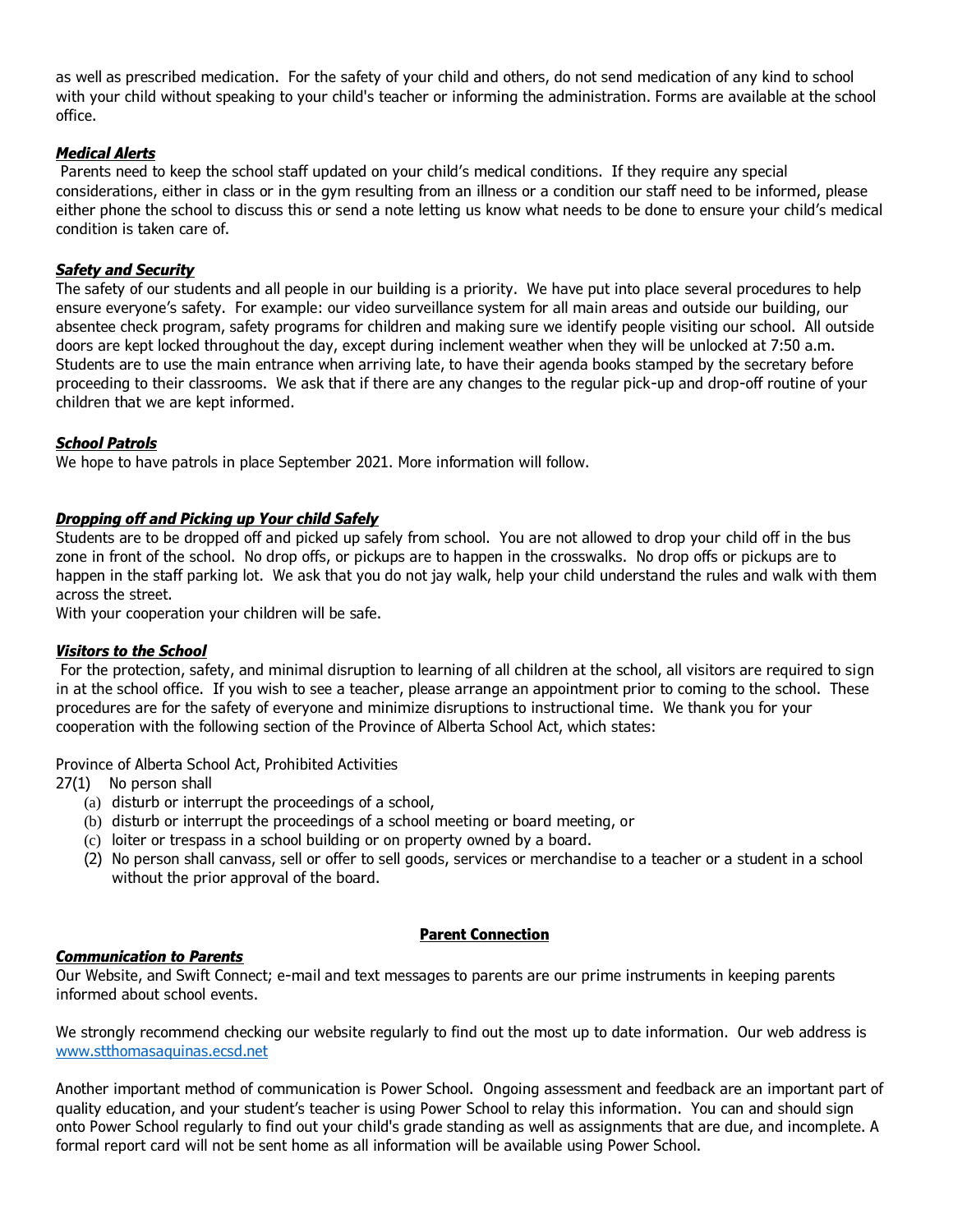as well as prescribed medication. For the safety of your child and others, do not send medication of any kind to school with your child without speaking to your child's teacher or informing the administration. Forms are available at the school office.

# *Medical Alerts*

Parents need to keep the school staff updated on your child's medical conditions. If they require any special considerations, either in class or in the gym resulting from an illness or a condition our staff need to be informed, please either phone the school to discuss this or send a note letting us know what needs to be done to ensure your child's medical condition is taken care of.

# *Safety and Security*

The safety of our students and all people in our building is a priority. We have put into place several procedures to help ensure everyone's safety. For example: our video surveillance system for all main areas and outside our building, our absentee check program, safety programs for children and making sure we identify people visiting our school. All outside doors are kept locked throughout the day, except during inclement weather when they will be unlocked at 7:50 a.m. Students are to use the main entrance when arriving late, to have their agenda books stamped by the secretary before proceeding to their classrooms. We ask that if there are any changes to the regular pick-up and drop-off routine of your children that we are kept informed.

# *School Patrols*

We hope to have patrols in place September 2021. More information will follow.

# *Dropping off and Picking up Your child Safely*

Students are to be dropped off and picked up safely from school. You are not allowed to drop your child off in the bus zone in front of the school. No drop offs, or pickups are to happen in the crosswalks. No drop offs or pickups are to happen in the staff parking lot. We ask that you do not jay walk, help your child understand the rules and walk with them across the street.

With your cooperation your children will be safe.

# *Visitors to the School*

For the protection, safety, and minimal disruption to learning of all children at the school, all visitors are required to sign in at the school office. If you wish to see a teacher, please arrange an appointment prior to coming to the school. These procedures are for the safety of everyone and minimize disruptions to instructional time. We thank you for your cooperation with the following section of the Province of Alberta School Act, which states:

Province of Alberta School Act, Prohibited Activities

27(1) No person shall

- (a) disturb or interrupt the proceedings of a school,
- (b) disturb or interrupt the proceedings of a school meeting or board meeting, or
- (c) loiter or trespass in a school building or on property owned by a board.
- (2) No person shall canvass, sell or offer to sell goods, services or merchandise to a teacher or a student in a school without the prior approval of the board.

# **Parent Connection**

# *Communication to Parents*

Our Website, and Swift Connect; e-mail and text messages to parents are our prime instruments in keeping parents informed about school events.

We strongly recommend checking our website regularly to find out the most up to date information. Our web address is [www.stthomasaquinas.ecsd.net](http://www.stthomasaquinas.ecsd.net/)

Another important method of communication is Power School. Ongoing assessment and feedback are an important part of quality education, and your student's teacher is using Power School to relay this information. You can and should sign onto Power School regularly to find out your child's grade standing as well as assignments that are due, and incomplete. A formal report card will not be sent home as all information will be available using Power School.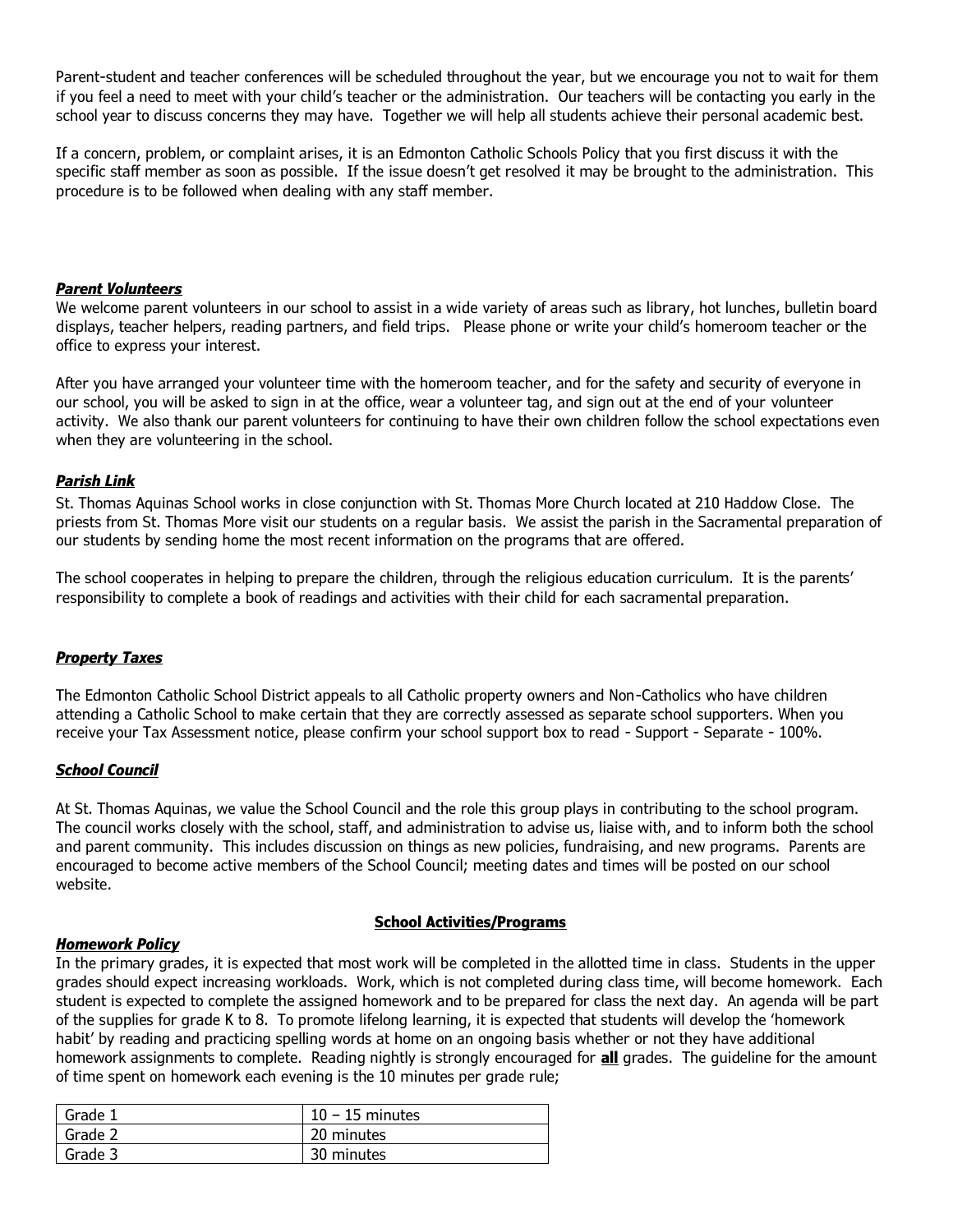Parent-student and teacher conferences will be scheduled throughout the year, but we encourage you not to wait for them if you feel a need to meet with your child's teacher or the administration. Our teachers will be contacting you early in the school year to discuss concerns they may have. Together we will help all students achieve their personal academic best.

If a concern, problem, or complaint arises, it is an Edmonton Catholic Schools Policy that you first discuss it with the specific staff member as soon as possible. If the issue doesn't get resolved it may be brought to the administration. This procedure is to be followed when dealing with any staff member.

#### *Parent Volunteers*

We welcome parent volunteers in our school to assist in a wide variety of areas such as library, hot lunches, bulletin board displays, teacher helpers, reading partners, and field trips. Please phone or write your child's homeroom teacher or the office to express your interest.

After you have arranged your volunteer time with the homeroom teacher, and for the safety and security of everyone in our school, you will be asked to sign in at the office, wear a volunteer tag, and sign out at the end of your volunteer activity. We also thank our parent volunteers for continuing to have their own children follow the school expectations even when they are volunteering in the school.

#### *Parish Link*

St. Thomas Aquinas School works in close conjunction with St. Thomas More Church located at 210 Haddow Close. The priests from St. Thomas More visit our students on a regular basis. We assist the parish in the Sacramental preparation of our students by sending home the most recent information on the programs that are offered.

The school cooperates in helping to prepare the children, through the religious education curriculum. It is the parents' responsibility to complete a book of readings and activities with their child for each sacramental preparation.

#### *Property Taxes*

The Edmonton Catholic School District appeals to all Catholic property owners and Non-Catholics who have children attending a Catholic School to make certain that they are correctly assessed as separate school supporters. When you receive your Tax Assessment notice, please confirm your school support box to read - Support - Separate - 100%.

#### *School Council*

At St. Thomas Aquinas, we value the School Council and the role this group plays in contributing to the school program. The council works closely with the school, staff, and administration to advise us, liaise with, and to inform both the school and parent community. This includes discussion on things as new policies, fundraising, and new programs. Parents are encouraged to become active members of the School Council; meeting dates and times will be posted on our school website.

#### **School Activities/Programs**

#### *Homework Policy*

In the primary grades, it is expected that most work will be completed in the allotted time in class. Students in the upper grades should expect increasing workloads. Work, which is not completed during class time, will become homework. Each student is expected to complete the assigned homework and to be prepared for class the next day. An agenda will be part of the supplies for grade K to 8. To promote lifelong learning, it is expected that students will develop the 'homework habit' by reading and practicing spelling words at home on an ongoing basis whether or not they have additional homework assignments to complete. Reading nightly is strongly encouraged for **all** grades. The guideline for the amount of time spent on homework each evening is the 10 minutes per grade rule;

| Grade 1 | $10 - 15$ minutes |
|---------|-------------------|
| Grade 2 | 20 minutes        |
| Grade 3 | 30 minutes        |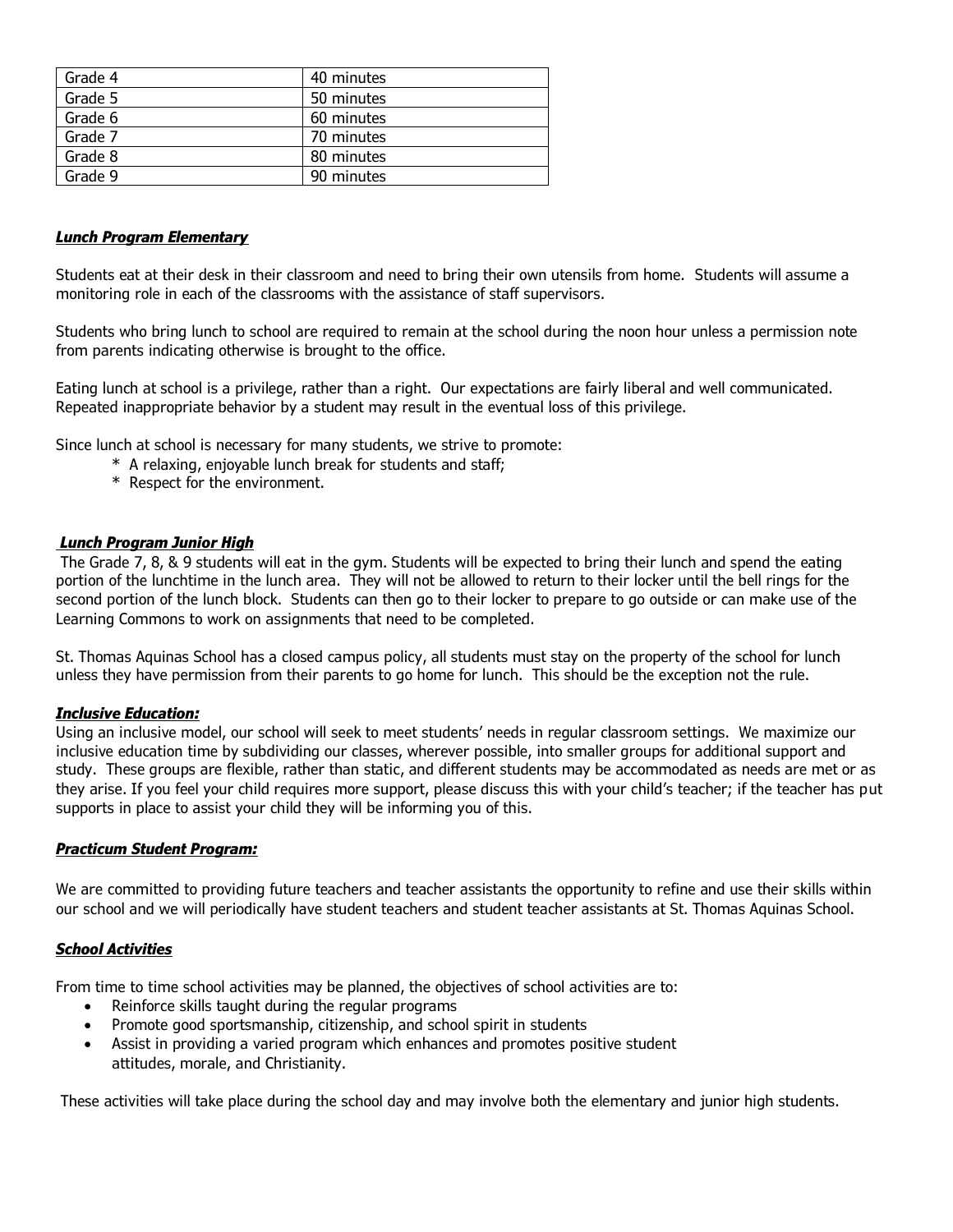| Grade 4 | 40 minutes |
|---------|------------|
| Grade 5 | 50 minutes |
| Grade 6 | 60 minutes |
| Grade 7 | 70 minutes |
| Grade 8 | 80 minutes |
| Grade 9 | 90 minutes |

# *Lunch Program Elementary*

Students eat at their desk in their classroom and need to bring their own utensils from home. Students will assume a monitoring role in each of the classrooms with the assistance of staff supervisors.

Students who bring lunch to school are required to remain at the school during the noon hour unless a permission note from parents indicating otherwise is brought to the office.

Eating lunch at school is a privilege, rather than a right. Our expectations are fairly liberal and well communicated. Repeated inappropriate behavior by a student may result in the eventual loss of this privilege.

Since lunch at school is necessary for many students, we strive to promote:

- \* A relaxing, enjoyable lunch break for students and staff;
- \* Respect for the environment.

## *Lunch Program Junior High*

The Grade 7, 8, & 9 students will eat in the gym. Students will be expected to bring their lunch and spend the eating portion of the lunchtime in the lunch area. They will not be allowed to return to their locker until the bell rings for the second portion of the lunch block. Students can then go to their locker to prepare to go outside or can make use of the Learning Commons to work on assignments that need to be completed.

St. Thomas Aquinas School has a closed campus policy, all students must stay on the property of the school for lunch unless they have permission from their parents to go home for lunch. This should be the exception not the rule.

#### *Inclusive Education:*

Using an inclusive model, our school will seek to meet students' needs in regular classroom settings. We maximize our inclusive education time by subdividing our classes, wherever possible, into smaller groups for additional support and study. These groups are flexible, rather than static, and different students may be accommodated as needs are met or as they arise. If you feel your child requires more support, please discuss this with your child's teacher; if the teacher has put supports in place to assist your child they will be informing you of this.

#### *Practicum Student Program:*

We are committed to providing future teachers and teacher assistants the opportunity to refine and use their skills within our school and we will periodically have student teachers and student teacher assistants at St. Thomas Aquinas School.

#### *School Activities*

From time to time school activities may be planned, the objectives of school activities are to:

- Reinforce skills taught during the regular programs
- Promote good sportsmanship, citizenship, and school spirit in students
- Assist in providing a varied program which enhances and promotes positive student attitudes, morale, and Christianity.

These activities will take place during the school day and may involve both the elementary and junior high students.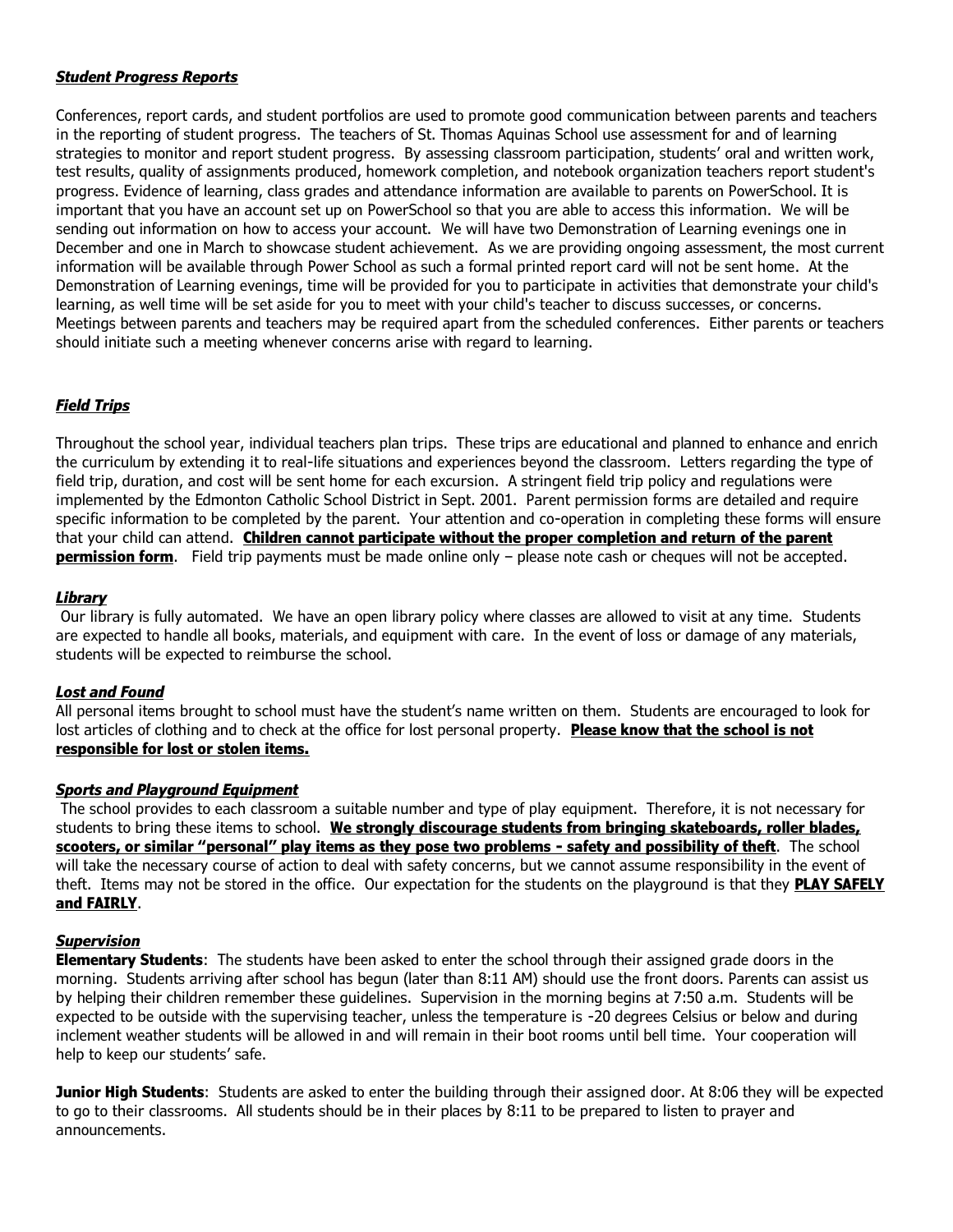# *Student Progress Reports*

Conferences, report cards, and student portfolios are used to promote good communication between parents and teachers in the reporting of student progress. The teachers of St. Thomas Aquinas School use assessment for and of learning strategies to monitor and report student progress. By assessing classroom participation, students' oral and written work, test results, quality of assignments produced, homework completion, and notebook organization teachers report student's progress. Evidence of learning, class grades and attendance information are available to parents on PowerSchool. It is important that you have an account set up on PowerSchool so that you are able to access this information. We will be sending out information on how to access your account. We will have two Demonstration of Learning evenings one in December and one in March to showcase student achievement. As we are providing ongoing assessment, the most current information will be available through Power School as such a formal printed report card will not be sent home. At the Demonstration of Learning evenings, time will be provided for you to participate in activities that demonstrate your child's learning, as well time will be set aside for you to meet with your child's teacher to discuss successes, or concerns. Meetings between parents and teachers may be required apart from the scheduled conferences. Either parents or teachers should initiate such a meeting whenever concerns arise with regard to learning.

# *Field Trips*

Throughout the school year, individual teachers plan trips. These trips are educational and planned to enhance and enrich the curriculum by extending it to real-life situations and experiences beyond the classroom. Letters regarding the type of field trip, duration, and cost will be sent home for each excursion. A stringent field trip policy and regulations were implemented by the Edmonton Catholic School District in Sept. 2001. Parent permission forms are detailed and require specific information to be completed by the parent. Your attention and co-operation in completing these forms will ensure that your child can attend. **Children cannot participate without the proper completion and return of the parent permission form**. Field trip payments must be made online only – please note cash or cheques will not be accepted.

#### *Library*

Our library is fully automated. We have an open library policy where classes are allowed to visit at any time. Students are expected to handle all books, materials, and equipment with care. In the event of loss or damage of any materials, students will be expected to reimburse the school.

#### *Lost and Found*

All personal items brought to school must have the student's name written on them. Students are encouraged to look for lost articles of clothing and to check at the office for lost personal property. **Please know that the school is not responsible for lost or stolen items.**

#### *Sports and Playground Equipment*

The school provides to each classroom a suitable number and type of play equipment. Therefore, it is not necessary for students to bring these items to school. **We strongly discourage students from bringing skateboards, roller blades, scooters, or similar "personal" play items as they pose two problems - safety and possibility of theft**. The school will take the necessary course of action to deal with safety concerns, but we cannot assume responsibility in the event of theft. Items may not be stored in the office. Our expectation for the students on the playground is that they **PLAY SAFELY and FAIRLY**.

## *Supervision*

**Elementary Students**: The students have been asked to enter the school through their assigned grade doors in the morning. Students arriving after school has begun (later than 8:11 AM) should use the front doors. Parents can assist us by helping their children remember these guidelines. Supervision in the morning begins at 7:50 a.m. Students will be expected to be outside with the supervising teacher, unless the temperature is -20 degrees Celsius or below and during inclement weather students will be allowed in and will remain in their boot rooms until bell time. Your cooperation will help to keep our students' safe.

**Junior High Students**: Students are asked to enter the building through their assigned door. At 8:06 they will be expected to go to their classrooms. All students should be in their places by 8:11 to be prepared to listen to prayer and announcements.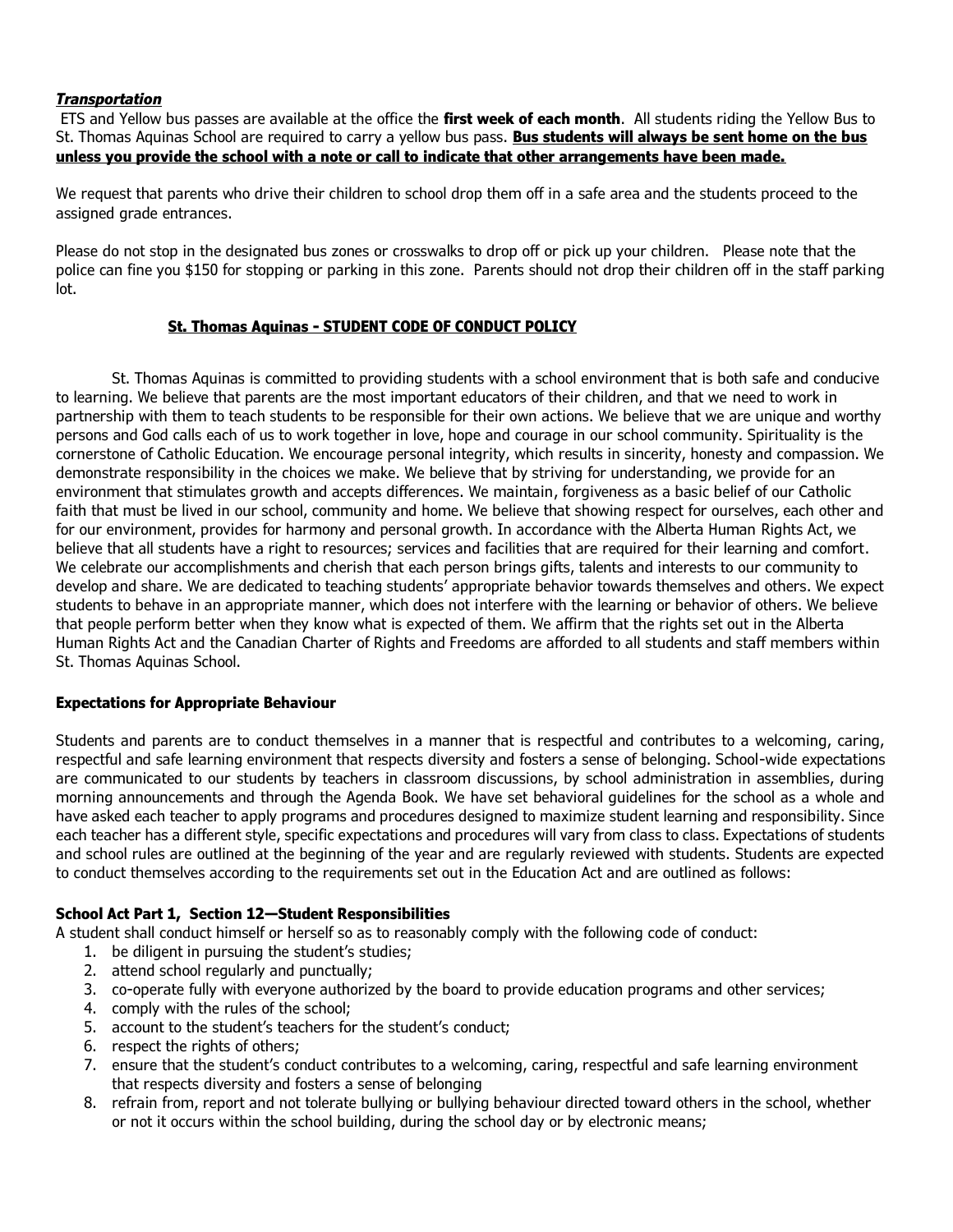# *Transportation*

ETS and Yellow bus passes are available at the office the **first week of each month**. All students riding the Yellow Bus to St. Thomas Aquinas School are required to carry a yellow bus pass. **Bus students will always be sent home on the bus unless you provide the school with a note or call to indicate that other arrangements have been made.**

We request that parents who drive their children to school drop them off in a safe area and the students proceed to the assigned grade entrances.

Please do not stop in the designated bus zones or crosswalks to drop off or pick up your children. Please note that the police can fine you \$150 for stopping or parking in this zone. Parents should not drop their children off in the staff parking lot.

# **St. Thomas Aquinas - STUDENT CODE OF CONDUCT POLICY**

St. Thomas Aquinas is committed to providing students with a school environment that is both safe and conducive to learning. We believe that parents are the most important educators of their children, and that we need to work in partnership with them to teach students to be responsible for their own actions. We believe that we are unique and worthy persons and God calls each of us to work together in love, hope and courage in our school community. Spirituality is the cornerstone of Catholic Education. We encourage personal integrity, which results in sincerity, honesty and compassion. We demonstrate responsibility in the choices we make. We believe that by striving for understanding, we provide for an environment that stimulates growth and accepts differences. We maintain, forgiveness as a basic belief of our Catholic faith that must be lived in our school, community and home. We believe that showing respect for ourselves, each other and for our environment, provides for harmony and personal growth. In accordance with the Alberta Human Rights Act, we believe that all students have a right to resources; services and facilities that are required for their learning and comfort. We celebrate our accomplishments and cherish that each person brings gifts, talents and interests to our community to develop and share. We are dedicated to teaching students' appropriate behavior towards themselves and others. We expect students to behave in an appropriate manner, which does not interfere with the learning or behavior of others. We believe that people perform better when they know what is expected of them. We affirm that the rights set out in the Alberta Human Rights Act and the Canadian Charter of Rights and Freedoms are afforded to all students and staff members within St. Thomas Aquinas School.

# **Expectations for Appropriate Behaviour**

Students and parents are to conduct themselves in a manner that is respectful and contributes to a welcoming, caring, respectful and safe learning environment that respects diversity and fosters a sense of belonging. School-wide expectations are communicated to our students by teachers in classroom discussions, by school administration in assemblies, during morning announcements and through the Agenda Book. We have set behavioral guidelines for the school as a whole and have asked each teacher to apply programs and procedures designed to maximize student learning and responsibility. Since each teacher has a different style, specific expectations and procedures will vary from class to class. Expectations of students and school rules are outlined at the beginning of the year and are regularly reviewed with students. Students are expected to conduct themselves according to the requirements set out in the Education Act and are outlined as follows:

# **School Act Part 1, Section 12—Student Responsibilities**

A student shall conduct himself or herself so as to reasonably comply with the following code of conduct:

- 1. be diligent in pursuing the student's studies;
- 2. attend school regularly and punctually;
- 3. co-operate fully with everyone authorized by the board to provide education programs and other services;
- 4. comply with the rules of the school;
- 5. account to the student's teachers for the student's conduct;
- 6. respect the rights of others;
- 7. ensure that the student's conduct contributes to a welcoming, caring, respectful and safe learning environment that respects diversity and fosters a sense of belonging
- 8. refrain from, report and not tolerate bullying or bullying behaviour directed toward others in the school, whether or not it occurs within the school building, during the school day or by electronic means;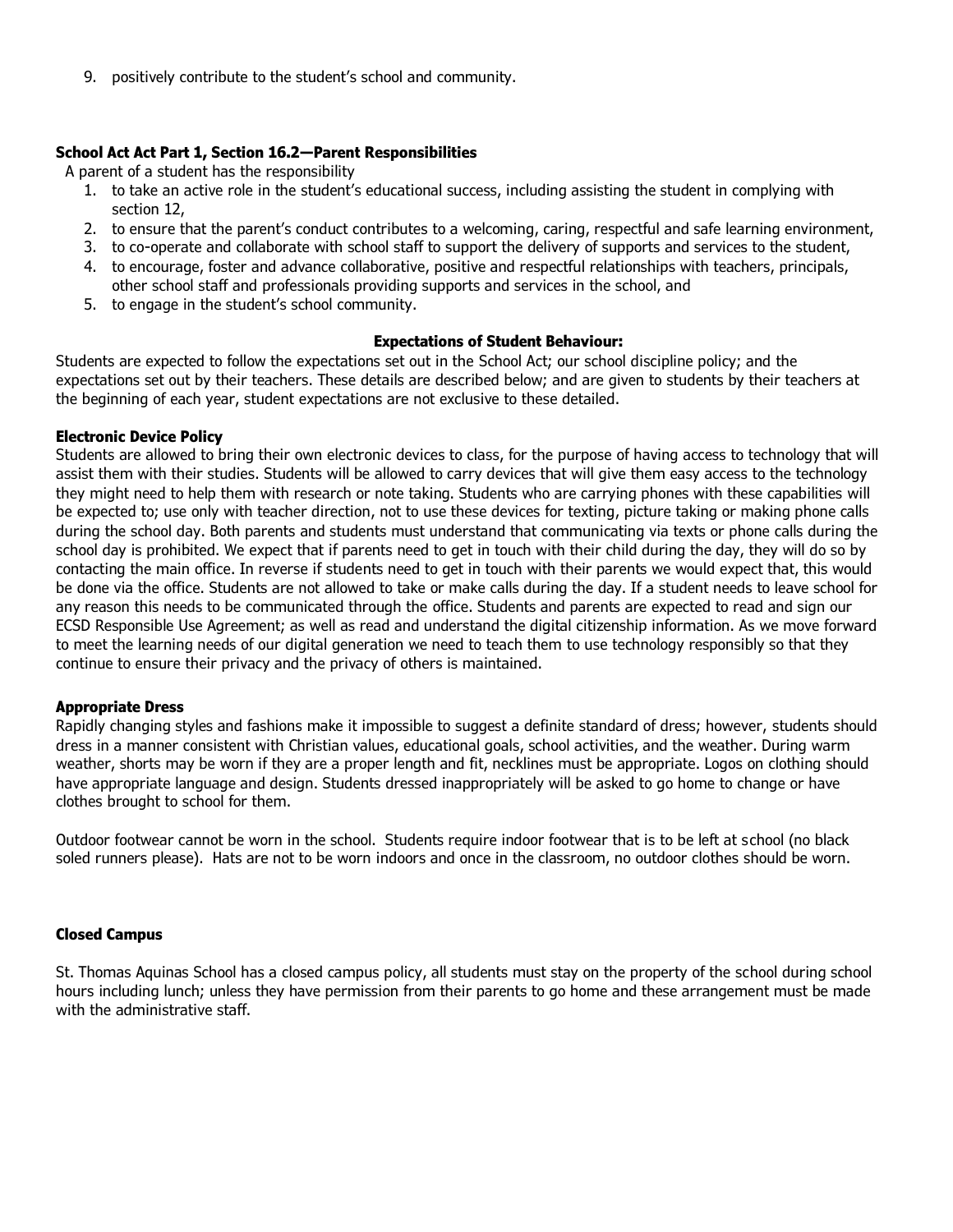9. positively contribute to the student's school and community.

#### **School Act Act Part 1, Section 16.2—Parent Responsibilities**

A parent of a student has the responsibility

- 1. to take an active role in the student's educational success, including assisting the student in complying with section 12,
- 2. to ensure that the parent's conduct contributes to a welcoming, caring, respectful and safe learning environment,
- 3. to co-operate and collaborate with school staff to support the delivery of supports and services to the student,
- 4. to encourage, foster and advance collaborative, positive and respectful relationships with teachers, principals, other school staff and professionals providing supports and services in the school, and
- 5. to engage in the student's school community.

## **Expectations of Student Behaviour:**

Students are expected to follow the expectations set out in the School Act; our school discipline policy; and the expectations set out by their teachers. These details are described below; and are given to students by their teachers at the beginning of each year, student expectations are not exclusive to these detailed.

#### **Electronic Device Policy**

Students are allowed to bring their own electronic devices to class, for the purpose of having access to technology that will assist them with their studies. Students will be allowed to carry devices that will give them easy access to the technology they might need to help them with research or note taking. Students who are carrying phones with these capabilities will be expected to; use only with teacher direction, not to use these devices for texting, picture taking or making phone calls during the school day. Both parents and students must understand that communicating via texts or phone calls during the school day is prohibited. We expect that if parents need to get in touch with their child during the day, they will do so by contacting the main office. In reverse if students need to get in touch with their parents we would expect that, this would be done via the office. Students are not allowed to take or make calls during the day. If a student needs to leave school for any reason this needs to be communicated through the office. Students and parents are expected to read and sign our ECSD Responsible Use Agreement; as well as read and understand the digital citizenship information. As we move forward to meet the learning needs of our digital generation we need to teach them to use technology responsibly so that they continue to ensure their privacy and the privacy of others is maintained.

#### **Appropriate Dress**

Rapidly changing styles and fashions make it impossible to suggest a definite standard of dress; however, students should dress in a manner consistent with Christian values, educational goals, school activities, and the weather. During warm weather, shorts may be worn if they are a proper length and fit, necklines must be appropriate. Logos on clothing should have appropriate language and design. Students dressed inappropriately will be asked to go home to change or have clothes brought to school for them.

Outdoor footwear cannot be worn in the school. Students require indoor footwear that is to be left at school (no black soled runners please). Hats are not to be worn indoors and once in the classroom, no outdoor clothes should be worn.

#### **Closed Campus**

St. Thomas Aquinas School has a closed campus policy, all students must stay on the property of the school during school hours including lunch; unless they have permission from their parents to go home and these arrangement must be made with the administrative staff.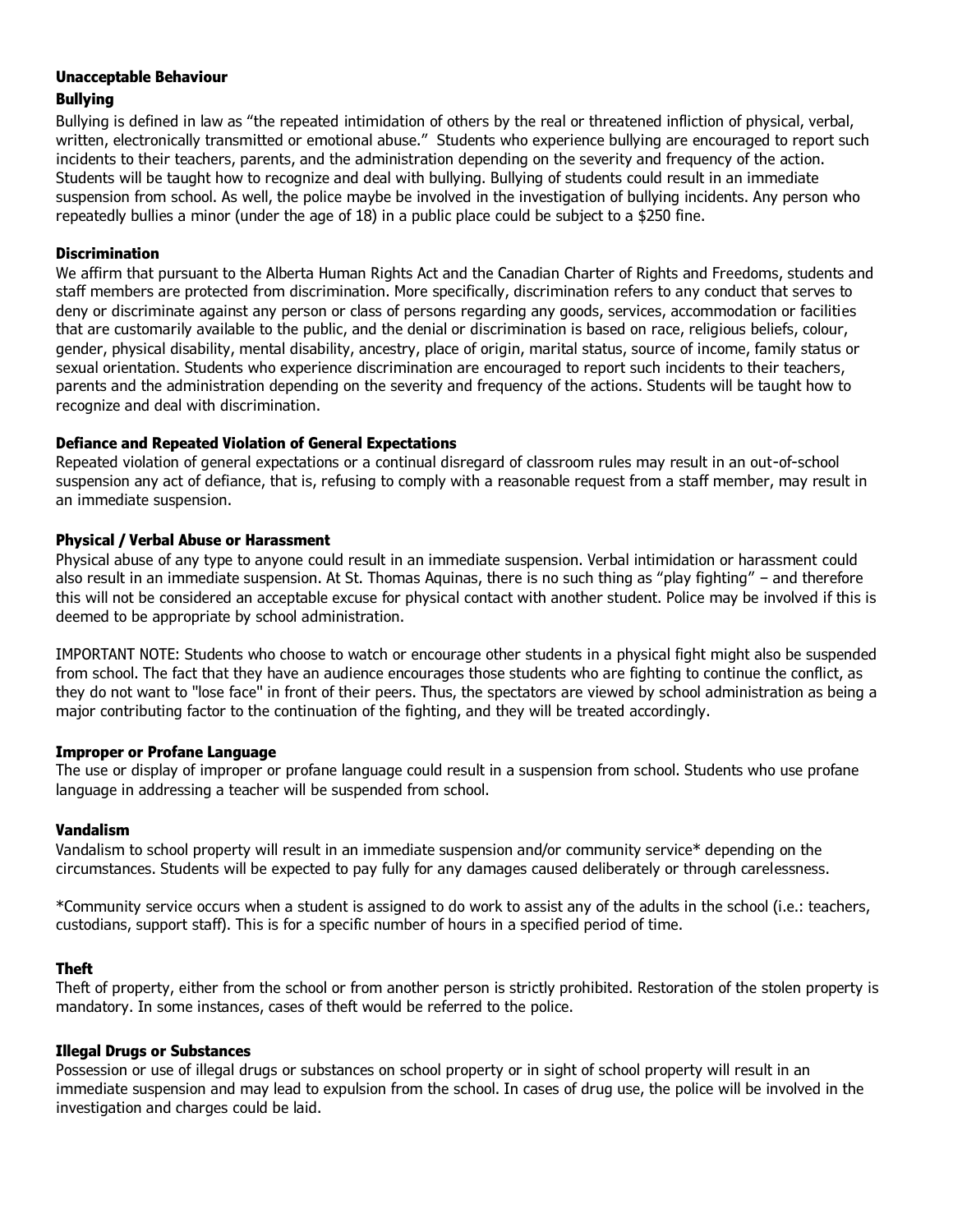# **Unacceptable Behaviour**

# **Bullying**

Bullying is defined in law as "the repeated intimidation of others by the real or threatened infliction of physical, verbal, written, electronically transmitted or emotional abuse." Students who experience bullying are encouraged to report such incidents to their teachers, parents, and the administration depending on the severity and frequency of the action. Students will be taught how to recognize and deal with bullying. Bullying of students could result in an immediate suspension from school. As well, the police maybe be involved in the investigation of bullying incidents. Any person who repeatedly bullies a minor (under the age of 18) in a public place could be subject to a \$250 fine.

# **Discrimination**

We affirm that pursuant to the Alberta Human Rights Act and the Canadian Charter of Rights and Freedoms, students and staff members are protected from discrimination. More specifically, discrimination refers to any conduct that serves to deny or discriminate against any person or class of persons regarding any goods, services, accommodation or facilities that are customarily available to the public, and the denial or discrimination is based on race, religious beliefs, colour, gender, physical disability, mental disability, ancestry, place of origin, marital status, source of income, family status or sexual orientation. Students who experience discrimination are encouraged to report such incidents to their teachers, parents and the administration depending on the severity and frequency of the actions. Students will be taught how to recognize and deal with discrimination.

# **Defiance and Repeated Violation of General Expectations**

Repeated violation of general expectations or a continual disregard of classroom rules may result in an out-of-school suspension any act of defiance, that is, refusing to comply with a reasonable request from a staff member, may result in an immediate suspension.

# **Physical / Verbal Abuse or Harassment**

Physical abuse of any type to anyone could result in an immediate suspension. Verbal intimidation or harassment could also result in an immediate suspension. At St. Thomas Aquinas, there is no such thing as "play fighting" – and therefore this will not be considered an acceptable excuse for physical contact with another student. Police may be involved if this is deemed to be appropriate by school administration.

IMPORTANT NOTE: Students who choose to watch or encourage other students in a physical fight might also be suspended from school. The fact that they have an audience encourages those students who are fighting to continue the conflict, as they do not want to "lose face" in front of their peers. Thus, the spectators are viewed by school administration as being a major contributing factor to the continuation of the fighting, and they will be treated accordingly.

# **Improper or Profane Language**

The use or display of improper or profane language could result in a suspension from school. Students who use profane language in addressing a teacher will be suspended from school.

# **Vandalism**

Vandalism to school property will result in an immediate suspension and/or community service\* depending on the circumstances. Students will be expected to pay fully for any damages caused deliberately or through carelessness.

\*Community service occurs when a student is assigned to do work to assist any of the adults in the school (i.e.: teachers, custodians, support staff). This is for a specific number of hours in a specified period of time.

# **Theft**

Theft of property, either from the school or from another person is strictly prohibited. Restoration of the stolen property is mandatory. In some instances, cases of theft would be referred to the police.

# **Illegal Drugs or Substances**

Possession or use of illegal drugs or substances on school property or in sight of school property will result in an immediate suspension and may lead to expulsion from the school. In cases of drug use, the police will be involved in the investigation and charges could be laid.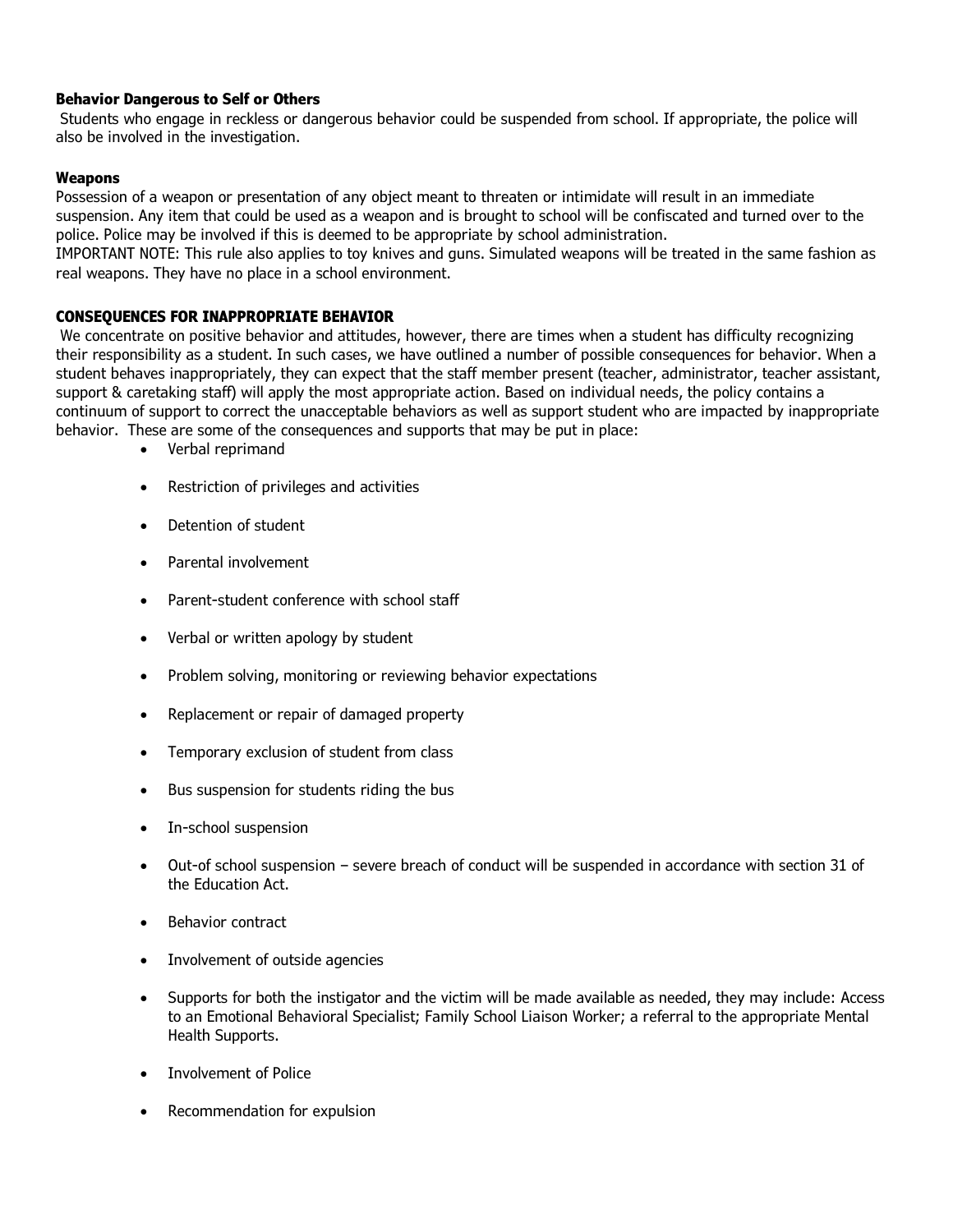# **Behavior Dangerous to Self or Others**

Students who engage in reckless or dangerous behavior could be suspended from school. If appropriate, the police will also be involved in the investigation.

# **Weapons**

Possession of a weapon or presentation of any object meant to threaten or intimidate will result in an immediate suspension. Any item that could be used as a weapon and is brought to school will be confiscated and turned over to the police. Police may be involved if this is deemed to be appropriate by school administration.

IMPORTANT NOTE: This rule also applies to toy knives and guns. Simulated weapons will be treated in the same fashion as real weapons. They have no place in a school environment.

# **CONSEQUENCES FOR INAPPROPRIATE BEHAVIOR**

We concentrate on positive behavior and attitudes, however, there are times when a student has difficulty recognizing their responsibility as a student. In such cases, we have outlined a number of possible consequences for behavior. When a student behaves inappropriately, they can expect that the staff member present (teacher, administrator, teacher assistant, support & caretaking staff) will apply the most appropriate action. Based on individual needs, the policy contains a continuum of support to correct the unacceptable behaviors as well as support student who are impacted by inappropriate behavior. These are some of the consequences and supports that may be put in place:

- Verbal reprimand
- Restriction of privileges and activities
- Detention of student
- Parental involvement
- Parent-student conference with school staff
- Verbal or written apology by student
- Problem solving, monitoring or reviewing behavior expectations
- Replacement or repair of damaged property
- Temporary exclusion of student from class
- Bus suspension for students riding the bus
- In-school suspension
- Out-of school suspension severe breach of conduct will be suspended in accordance with section 31 of the Education Act.
- Behavior contract
- Involvement of outside agencies
- Supports for both the instigator and the victim will be made available as needed, they may include: Access to an Emotional Behavioral Specialist; Family School Liaison Worker; a referral to the appropriate Mental Health Supports.
- Involvement of Police
- Recommendation for expulsion